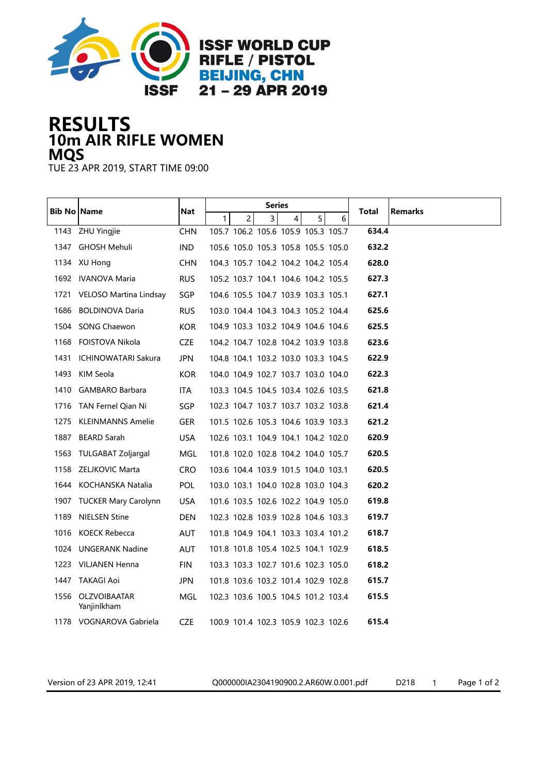

## 10m AIR RIFLE WOMEN RESULTS MQS

TUE 23 APR 2019, START TIME 09:00

| Bib No   Name |                                  | <b>Nat</b> |                                  | Series                              |        |       |                |
|---------------|----------------------------------|------------|----------------------------------|-------------------------------------|--------|-------|----------------|
|               |                                  |            | 1 <sup>1</sup><br>$\overline{c}$ | $\overline{3}$<br>4                 | 5<br>6 | Total | <b>Remarks</b> |
|               | 1143 ZHU Yingjie                 | <b>CHN</b> |                                  | 105.7 106.2 105.6 105.9 105.3 105.7 |        | 634.4 |                |
|               | 1347 GHOSH Mehuli                | <b>IND</b> |                                  | 105.6 105.0 105.3 105.8 105.5 105.0 |        | 632.2 |                |
|               | 1134 XU Hong                     | <b>CHN</b> |                                  | 104.3 105.7 104.2 104.2 104.2 105.4 |        | 628.0 |                |
|               | 1692 IVANOVA Maria               | <b>RUS</b> |                                  | 105.2 103.7 104.1 104.6 104.2 105.5 |        | 627.3 |                |
| 1721          | VELOSO Martina Lindsay           | <b>SGP</b> |                                  | 104.6 105.5 104.7 103.9 103.3 105.1 |        | 627.1 |                |
| 1686          | <b>BOLDINOVA Daria</b>           | <b>RUS</b> |                                  | 103.0 104.4 104.3 104.3 105.2 104.4 |        | 625.6 |                |
|               | 1504 SONG Chaewon                | <b>KOR</b> |                                  | 104.9 103.3 103.2 104.9 104.6 104.6 |        | 625.5 |                |
| 1168          | FOISTOVA Nikola                  | <b>CZE</b> |                                  | 104.2 104.7 102.8 104.2 103.9 103.8 |        | 623.6 |                |
| 1431          | ICHINOWATARI Sakura              | <b>JPN</b> |                                  | 104.8 104.1 103.2 103.0 103.3 104.5 |        | 622.9 |                |
| 1493          | KIM Seola                        | KOR.       |                                  | 104.0 104.9 102.7 103.7 103.0 104.0 |        | 622.3 |                |
|               | 1410 GAMBARO Barbara             | ITA.       |                                  | 103.3 104.5 104.5 103.4 102.6 103.5 |        | 621.8 |                |
|               | 1716 TAN Fernel Qian Ni          | SGP        |                                  | 102.3 104.7 103.7 103.7 103.2 103.8 |        | 621.4 |                |
| 1275          | KLEINMANNS Amelie                | <b>GER</b> |                                  | 101.5 102.6 105.3 104.6 103.9 103.3 |        | 621.2 |                |
| 1887          | <b>BEARD Sarah</b>               | <b>USA</b> |                                  | 102.6 103.1 104.9 104.1 104.2 102.0 |        | 620.9 |                |
|               | 1563 TULGABAT Zoljargal          | MGL        |                                  | 101.8 102.0 102.8 104.2 104.0 105.7 |        | 620.5 |                |
|               | 1158 ZELJKOVIC Marta             | <b>CRO</b> |                                  | 103.6 104.4 103.9 101.5 104.0 103.1 |        | 620.5 |                |
|               | 1644 KOCHANSKA Natalia           | <b>POL</b> |                                  | 103.0 103.1 104.0 102.8 103.0 104.3 |        | 620.2 |                |
|               | 1907 TUCKER Mary Carolynn        | USA.       |                                  | 101.6 103.5 102.6 102.2 104.9 105.0 |        | 619.8 |                |
| 1189          | <b>NIELSEN Stine</b>             | <b>DEN</b> |                                  | 102.3 102.8 103.9 102.8 104.6 103.3 |        | 619.7 |                |
|               | 1016 KOECK Rebecca               | AUT        |                                  | 101.8 104.9 104.1 103.3 103.4 101.2 |        | 618.7 |                |
|               | 1024 UNGERANK Nadine             | AUT        |                                  | 101.8 101.8 105.4 102.5 104.1 102.9 |        | 618.5 |                |
|               | 1223 VILJANEN Henna              | <b>FIN</b> |                                  | 103.3 103.3 102.7 101.6 102.3 105.0 |        | 618.2 |                |
|               | 1447 TAKAGI Aoi                  | <b>JPN</b> |                                  | 101.8 103.6 103.2 101.4 102.9 102.8 |        | 615.7 |                |
|               | 1556 OLZVOIBAATAR<br>Yanjinlkham | MGL        |                                  | 102.3 103.6 100.5 104.5 101.2 103.4 |        | 615.5 |                |
|               | 1178 VOGNAROVA Gabriela          | CZE        |                                  | 100.9 101.4 102.3 105.9 102.3 102.6 |        | 615.4 |                |

Version of 23 APR 2019, 12:41 Q000000IA2304190900.2.AR60W.0.001.pdf D218 1 Page 1 of 2